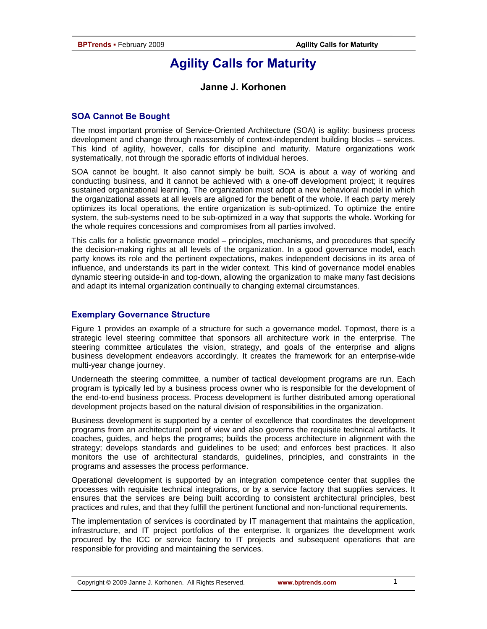# **Agility Calls for Maturity**

### **Janne J. Korhonen**

#### **SOA Cannot Be Bought**

The most important promise of Service-Oriented Architecture (SOA) is agility: business process development and change through reassembly of context-independent building blocks – services. This kind of agility, however, calls for discipline and maturity. Mature organizations work systematically, not through the sporadic efforts of individual heroes.

SOA cannot be bought. It also cannot simply be built. SOA is about a way of working and conducting business, and it cannot be achieved with a one-off development project; it requires sustained organizational learning. The organization must adopt a new behavioral model in which the organizational assets at all levels are aligned for the benefit of the whole. If each party merely optimizes its local operations, the entire organization is sub-optimized. To optimize the entire system, the sub-systems need to be sub-optimized in a way that supports the whole. Working for the whole requires concessions and compromises from all parties involved.

This calls for a holistic governance model – principles, mechanisms, and procedures that specify the decision-making rights at all levels of the organization. In a good governance model, each party knows its role and the pertinent expectations, makes independent decisions in its area of influence, and understands its part in the wider context. This kind of governance model enables dynamic steering outside-in and top-down, allowing the organization to make many fast decisions and adapt its internal organization continually to changing external circumstances.

#### **Exemplary Governance Structure**

Figure 1 provides an example of a structure for such a governance model. Topmost, there is a strategic level steering committee that sponsors all architecture work in the enterprise. The steering committee articulates the vision, strategy, and goals of the enterprise and aligns business development endeavors accordingly. It creates the framework for an enterprise-wide multi-year change journey.

Underneath the steering committee, a number of tactical development programs are run. Each program is typically led by a business process owner who is responsible for the development of the end-to-end business process. Process development is further distributed among operational development projects based on the natural division of responsibilities in the organization.

Business development is supported by a center of excellence that coordinates the development programs from an architectural point of view and also governs the requisite technical artifacts. It coaches, guides, and helps the programs; builds the process architecture in alignment with the strategy; develops standards and guidelines to be used; and enforces best practices. It also monitors the use of architectural standards, guidelines, principles, and constraints in the programs and assesses the process performance.

Operational development is supported by an integration competence center that supplies the processes with requisite technical integrations, or by a service factory that supplies services. It ensures that the services are being built according to consistent architectural principles, best practices and rules, and that they fulfill the pertinent functional and non-functional requirements.

The implementation of services is coordinated by IT management that maintains the application, infrastructure, and IT project portfolios of the enterprise. It organizes the development work procured by the ICC or service factory to IT projects and subsequent operations that are responsible for providing and maintaining the services.